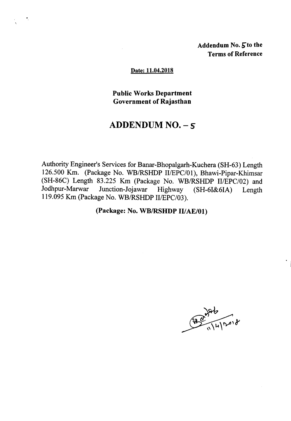Addendum No. 5 to the Terms of Reference

#### Date: 11.04.2018

### Public Works Department Government of Rajasthan

# ADDENDUM NO. - *S*

Authority Engineer's Services for Banar-Bhopalgarh-Kuchera (SH-63) Length 126.500 Km. (Package No. WBIRSHDP *IIIEPC/01),* Bhawi-Pipar-Khimsar (SH-86C) Length 83.225 Km (Package No. WB/RSHDP *II/EPC/02)* and Jodhpur-Marwar Junction-Joiawar Highway (SH-6I&6IA) Length Junction-Jojawar Highway (SH-6I&6IA) Length 119.095Km (Package No. WBIRSHDP *IIIEPC/03).*

### (Package: No. WB/RSHDP II/AE/01)

 $286$ <br> $396$ <br> $111200$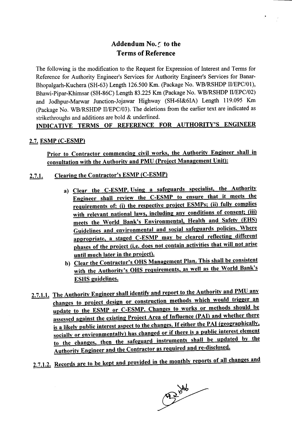## Addendum No. 5 to the Terms of Reference

The following is the modification to the Request for Expression of Interest and Terms for Reference for Authority Engineer's Services for Authority Engineer's Services for Banar-Bhopalgarh-Kuchera (SH-63) Length 126.500 Km. (Package No. WB/RSHDP *II/EPC/01*), Bhawi-Pipar-Khimsar (SH-86C) Length 83.225 Km (Package No. WB/RSHDP II/EPC/02) and Jodhpur-Marwar Junction-Jojawar Highway (SH-6I&6IA) Length 119.095 Km (Package No. WBIRSHDP *II/EPC/03).* The deletions from the earlier text are indicated as strikethroughs and additions are bold & underlined.

## INDICATIVE TERMS OF REFERENCE FOR AUTHORITY'S ENGINEER

#### 2.7. ESMP (C-ESMP)

Prior to Contractor commencing civil works, the Authority Engineer shall in consultation with the Authority and PMU (Project Management Unit):

- Clearing the Contractor's ESMP (C-ESMP)  $2.7.1.$ 
	- a) Clear the C-ESMP. Using a safeguards specialist, the Authority Engineer shall review the C-ESMP to ensure that it meets the requirements of: (i) the respective project ESMPs; (ii) fully complies with relevant national laws, including any conditions of consent; (iii) meets the World Bank's Environmental, Health and Safety (EHS) Guidelines and environmental and social safeguards policies. Where appropriate, a staged C-ESMP may be cleared reflecting different phases of the project (i.e. does not contain activities that will not arise until much later in the project).
	- b) Clear the Contractor's OHS Management Plan. This shall be consistent with the Authority's OHS requirements, as well as the World Bank's ESHS guidelines.
- 2.7.1.1. The Authority Engineer shall identify and report to the Authority and PMU any changes to project design or construction methods which would trigger an update to the ESMP or C-ESMP. Changes to works or methods should be assessed against the existing Project Area of Influence (PAI) and whether there is a likely public interest aspect to the changes. If either the PAI (geographically, socially or environmentally) has changed or if there is a public interest element to the changes, then the safeguard instruments shall be updated by the Authority Engineer and the Contractor as required and re-disclosed.
- 2.7.1.2. Records are to be kept and provided in the monthly reports of all changes and

 $\sqrt{1246}$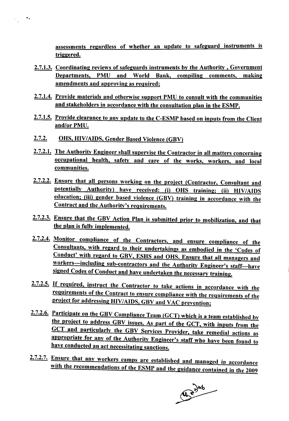assessments regardless of whether an update to safeguard instruments is triggered.

- 2.7.1.3. Coordinating reviews of safeguards instruments by the Authority, Government Departments, PMU and World Bank, compiling comments, making amendments and approving as required;
- 2.7.1.4. Provide materials and otherwise support PMU to consult with the communities and stakeholders in accordance with the consultation plan in the ESMP.
- 2.7.1.5. Provide clearance to any update to the C-ESMP based on inputs from the Client and/or PMU.
- $2.7.2.$ OHS, HIV/AIDS, Gender Based Violence (GBV)

·.

- 2.7.2.1. The Authority Engineer shall supervise the Contractor in all matters concerning occupational health, safety and care of the works, workers, and local communities.
- 2.7.2.2. Ensure that all persons working on the project (Contractor, Consultant and potentially Authority) have received: (i) OHS training; (ii) HIV/AIDS education; (iii) gender based violence (GBV) training in accordance with the Contract and the Authority's requirements.
- 2.7.2.3. Ensure that the GBV Action Plan is submitted prior to mobilization, and that the plan is fully implemented.
- 2.7.2.4. Monitor compliance of the Contractors, and ensure compliance of the Consultants, with regard to their undertakings as embodied in the 'Codes of Conduct' with regard to GBV, ESHS and OHS. Ensure that all managers and workers-including sub-contractors and the Authority Engineer's staff-have signed Codes of Conduct and have undertaken the necessary training.
- 2.7.2.5. If required, instruct the Contractor to take actions in accordance with the requirements of the Contract to ensure compliance with the requirements of the project for addressing HIV/AIDS, GBV and VAC prevention;
- 2.7.2.6. Participate on the GBV Compliance Team (GCT) which is a team established by the project to address GBV issues. As part of the GCT, with inputs from the GCT and particularly the GBV Services Provider, take remedial actions as appropriate for any of the Authority Engineer's staff who have been found to have conducted an act necessitating sanctions.
- 2.7.2.7. Ensure that any workers camps are established and managed in accordance with the recommendations of the ESMP and the guidance contained in the 2009

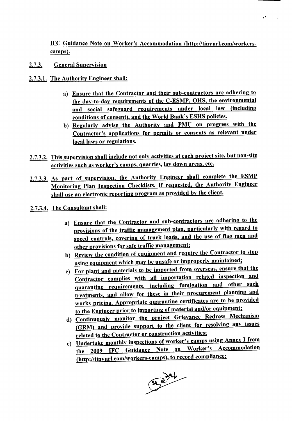IFC Guidance Note on Worker's Accommodation (http://tinyurl.com/workerscamps).

·.

- 2.7.3. General Supervision
- 2.7.3.1. The Authority Engineer shall:
	- a) Ensure that the Contractor and their sub-contractors are adhering to the day-to-day requirements of the C-ESMP, OHS, the environmental and social safeguard requirements under local law (including conditions of consent), and the World Bank's ESHS policies.
	- b) Regularly advise the Authority and PMU on progress with the Contractor's applications for permits or consents as relevant under local laws or regulations.
- 2.7.3.2. This supervision shall include not only activities at each project site, but non-site activities such as worker's camps, quarries, lay down areas, etc.
- 2.7.3.3. As part of supervision, the Authority Engineer shall complete the ESMP Monitoring Plan Inspection Checklists. If requested, the Authority Engineer shall use an electronic reporting program as provided by the client.
- 2.7.3.4. The Consultant shall:
	- a) Ensure that the Contractor and sub-contractors are adhering to the provisions of the traffic management plan, particularly with regard to speed controls, covering of truck loads, and the use of flag men and other provisions for safe traffic management;
	- b) Review the condition of equipment and require the Contractor to stop using equipment which may be unsafe or improperly maintained;
	- c) For plant and materials to be imported from overseas, ensure that the Contractor complies with all importation related inspection and quarantine requirements, including fumigation and other such treatments, and allow for these in their procurement planning and works pricing. Appropriate quarantine certificates are to be provided to the Engineer prior to importing of material and/or equipment;
	- d) Continuously monitor the project Grievance Redress Mechanism (GRM) and provide support to the client for resolving any issues related to the Contractor or construction activities;
	- e) Undertake monthly inspections of worker's camps using Annex I from the 2009 IFC Guidance Note on Worker's Accommodation (http://tinyurl.com/workers-camps), to record compliance;

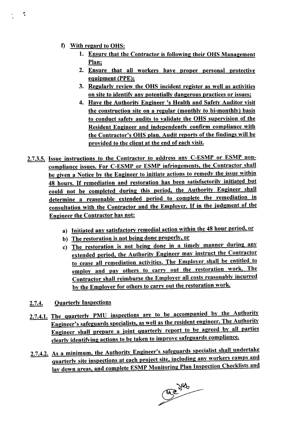t) With regard to OHS:

÷,

- 1. Ensure that the Contractor is following their OHS Management Plan;
- 2. Ensure that all workers have proper personal protective equipment (PPE);
- 3. Regularly review the OHS incident register as well as activities on site to identify any potentially dangerous practices or issues;
- 4. Have the Authority Engineer's Health and Safety Auditor visit the construction site on a regular (monthly to bi-monthly) basis to conduct safety audits to validate the OHS supervision of the Resident Engineer and independently confirm compliance with the Contractor's OHS plan. Audit reports of the findings will be provided to the client at the end of each visit.
- 2.7.3.5. Issue instructions to the Contractor to address any C-ESMP or ESMP noncompliance issues. For C-ESMP or ESMP infringements, the Contractor shall be given a Notice by the Engineer to initiate actions to remedy the issue within <sup>48</sup> hours. If remediation and restoration has been satisfactorily initiated but could not be completed during this period, the Authority Engineer shall determine a reasonable extended period to complete the remediation in consultation with the Contractor and the Employer. If in the judgment of the Engineer the Contractor has not:
	- a) Initiated any satisfactory remedial action within the 48 hour period, or
	- b) The restoration is not being done properly, or
	- c) The restoration is not being done in a timely manner during any extended period, the Authority Engineer may instruct the Contractor to cease all remediation activities. The Employer shall be entitled to employ and pay others to carry out the restoration work. The Contractor shall reimburse the Employer all costs reasonably incurred by the Employer for others to carry out the restoration work.
- 2.7.4. Quarterly Inspections
- 2.7.4.1. The quarterly PMU inspections are to be accompanied by the Authority Engineer's safeguards specialists, as well as the resident engineer. The Authority Engineer shall prepare a joint quarterly report to be agreed by all parties clearly identifying actions to be taken to improve safeguards compliance.
- 2.7.4.2. As a minimum, the Authority Engineer's safeguards specialist shall undertake quarterly site inspections at each project site, including any workers camps and lay down areas, and complete ESMP Monitoring Plan Inspection Checklists and

 $0.246$